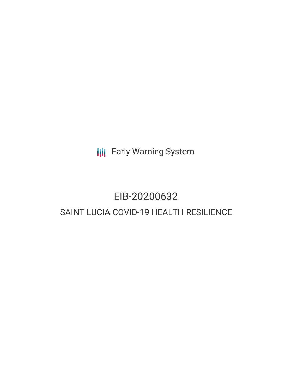**III** Early Warning System

## EIB-20200632 SAINT LUCIA COVID-19 HEALTH RESILIENCE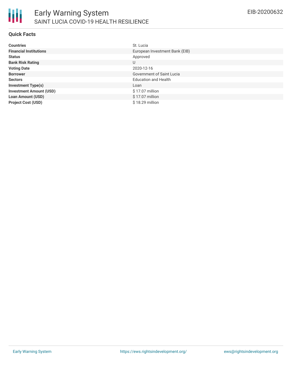

#### **Quick Facts**

| <b>Countries</b>               | St. Lucia                        |
|--------------------------------|----------------------------------|
| <b>Financial Institutions</b>  | European Investment Bank (EIB)   |
| <b>Status</b>                  | Approved                         |
| <b>Bank Risk Rating</b>        | U                                |
| <b>Voting Date</b>             | 2020-12-16                       |
| <b>Borrower</b>                | <b>Government of Saint Lucia</b> |
| <b>Sectors</b>                 | <b>Education and Health</b>      |
| <b>Investment Type(s)</b>      | Loan                             |
| <b>Investment Amount (USD)</b> | \$17.07 million                  |
| <b>Loan Amount (USD)</b>       | \$17.07 million                  |
| <b>Project Cost (USD)</b>      | \$18.29 million                  |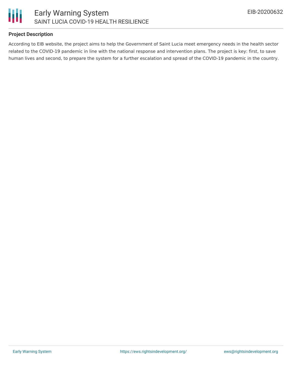

#### **Project Description**

According to EIB website, the project aims to help the Government of Saint Lucia meet emergency needs in the health sector related to the COVID-19 pandemic in line with the national response and intervention plans. The project is key: first, to save human lives and second, to prepare the system for a further escalation and spread of the COVID-19 pandemic in the country.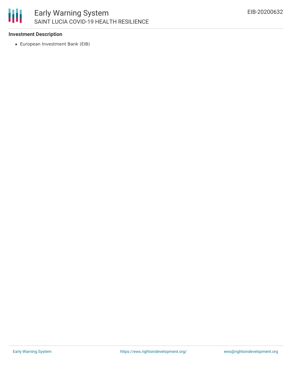#### 朋 Early Warning System SAINT LUCIA COVID-19 HEALTH RESILIENCE

#### **Investment Description**

European Investment Bank (EIB)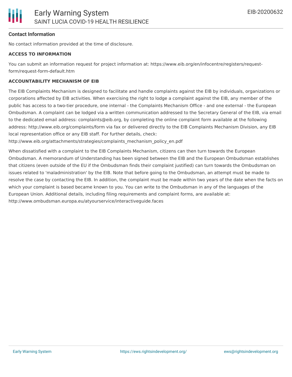#### **Contact Information**

No contact information provided at the time of disclosure.

#### **ACCESS TO INFORMATION**

You can submit an information request for project information at: https://www.eib.org/en/infocentre/registers/requestform/request-form-default.htm

#### **ACCOUNTABILITY MECHANISM OF EIB**

The EIB Complaints Mechanism is designed to facilitate and handle complaints against the EIB by individuals, organizations or corporations affected by EIB activities. When exercising the right to lodge a complaint against the EIB, any member of the public has access to a two-tier procedure, one internal - the Complaints Mechanism Office - and one external - the European Ombudsman. A complaint can be lodged via a written communication addressed to the Secretary General of the EIB, via email to the dedicated email address: complaints@eib.org, by completing the online complaint form available at the following address: http://www.eib.org/complaints/form via fax or delivered directly to the EIB Complaints Mechanism Division, any EIB local representation office or any EIB staff. For further details, check:

http://www.eib.org/attachments/strategies/complaints\_mechanism\_policy\_en.pdf

When dissatisfied with a complaint to the EIB Complaints Mechanism, citizens can then turn towards the European Ombudsman. A memorandum of Understanding has been signed between the EIB and the European Ombudsman establishes that citizens (even outside of the EU if the Ombudsman finds their complaint justified) can turn towards the Ombudsman on issues related to 'maladministration' by the EIB. Note that before going to the Ombudsman, an attempt must be made to resolve the case by contacting the EIB. In addition, the complaint must be made within two years of the date when the facts on which your complaint is based became known to you. You can write to the Ombudsman in any of the languages of the European Union. Additional details, including filing requirements and complaint forms, are available at: http://www.ombudsman.europa.eu/atyourservice/interactiveguide.faces